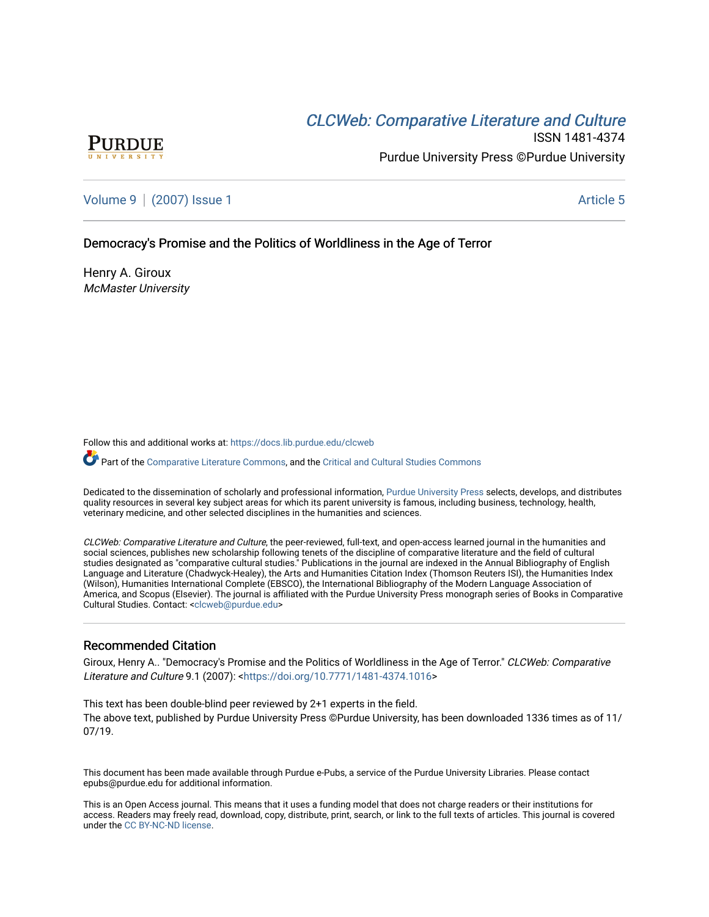# CLCW[eb: Comparative Liter](https://docs.lib.purdue.edu/clcweb)ature and Culture



ISSN 1481-4374 Purdue University Press ©Purdue University

[Volume 9](https://docs.lib.purdue.edu/clcweb/vol9) | [\(2007\) Issue 1](https://docs.lib.purdue.edu/clcweb/vol9/iss1) Article 5

# Democracy's Promise and the Politics of Worldliness in the Age of Terror

Henry A. Giroux McMaster University

Follow this and additional works at: [https://docs.lib.purdue.edu/clcweb](https://docs.lib.purdue.edu/clcweb?utm_source=docs.lib.purdue.edu%2Fclcweb%2Fvol9%2Fiss1%2F5&utm_medium=PDF&utm_campaign=PDFCoverPages)

Part of the [Comparative Literature Commons,](http://network.bepress.com/hgg/discipline/454?utm_source=docs.lib.purdue.edu%2Fclcweb%2Fvol9%2Fiss1%2F5&utm_medium=PDF&utm_campaign=PDFCoverPages) and the Critical and Cultural Studies Commons

Dedicated to the dissemination of scholarly and professional information, [Purdue University Press](http://www.thepress.purdue.edu/) selects, develops, and distributes quality resources in several key subject areas for which its parent university is famous, including business, technology, health, veterinary medicine, and other selected disciplines in the humanities and sciences.

CLCWeb: Comparative Literature and Culture, the peer-reviewed, full-text, and open-access learned journal in the humanities and social sciences, publishes new scholarship following tenets of the discipline of comparative literature and the field of cultural studies designated as "comparative cultural studies." Publications in the journal are indexed in the Annual Bibliography of English Language and Literature (Chadwyck-Healey), the Arts and Humanities Citation Index (Thomson Reuters ISI), the Humanities Index (Wilson), Humanities International Complete (EBSCO), the International Bibliography of the Modern Language Association of America, and Scopus (Elsevier). The journal is affiliated with the Purdue University Press monograph series of Books in Comparative Cultural Studies. Contact: [<clcweb@purdue.edu](mailto:clcweb@purdue.edu)>

# Recommended Citation

Giroux, Henry A.. "Democracy's Promise and the Politics of Worldliness in the Age of Terror." CLCWeb: Comparative Literature and Culture 9.1 (2007): [<https://doi.org/10.7771/1481-4374.1016](https://doi.org/10.7771/1481-4374.1016)>

This text has been double-blind peer reviewed by 2+1 experts in the field. The above text, published by Purdue University Press ©Purdue University, has been downloaded 1336 times as of 11/ 07/19.

This document has been made available through Purdue e-Pubs, a service of the Purdue University Libraries. Please contact epubs@purdue.edu for additional information.

This is an Open Access journal. This means that it uses a funding model that does not charge readers or their institutions for access. Readers may freely read, download, copy, distribute, print, search, or link to the full texts of articles. This journal is covered under the [CC BY-NC-ND license.](https://creativecommons.org/licenses/by-nc-nd/4.0/)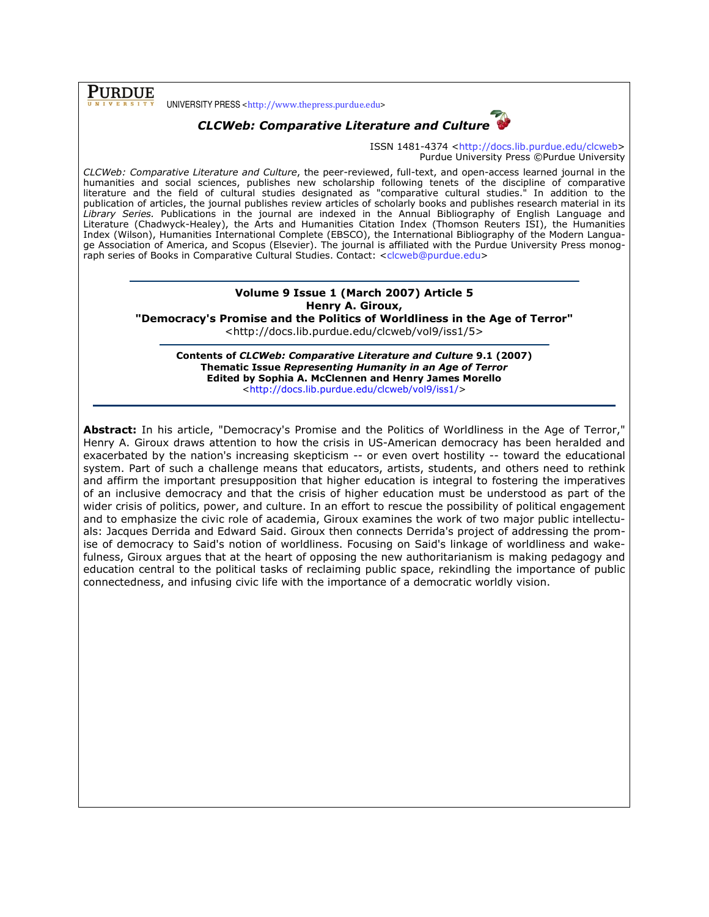**PURDUE** 

UNIVERSITY PRESS <http://www.thepress.purdue.edu>



ISSN 1481-4374 <http://docs.lib.purdue.edu/clcweb> Purdue University Press ©Purdue University

CLCWeb: Comparative Literature and Culture, the peer-reviewed, full-text, and open-access learned journal in the humanities and social sciences, publishes new scholarship following tenets of the discipline of comparative literature and the field of cultural studies designated as "comparative cultural studies." In addition to the publication of articles, the journal publishes review articles of scholarly books and publishes research material in its Library Series. Publications in the journal are indexed in the Annual Bibliography of English Language and Literature (Chadwyck-Healey), the Arts and Humanities Citation Index (Thomson Reuters ISI), the Humanities Index (Wilson), Humanities International Complete (EBSCO), the International Bibliography of the Modern Language Association of America, and Scopus (Elsevier). The journal is affiliated with the Purdue University Press monograph series of Books in Comparative Cultural Studies. Contact: <clcweb@purdue.edu>

# Volume 9 Issue 1 (March 2007) Article 5 Henry A. Giroux,

"Democracy's Promise and the Politics of Worldliness in the Age of Terror"

<http://docs.lib.purdue.edu/clcweb/vol9/iss1/5>

Contents of CLCWeb: Comparative Literature and Culture 9.1 (2007) Thematic Issue Representing Humanity in an Age of Terror Edited by Sophia A. McClennen and Henry James Morello <http://docs.lib.purdue.edu/clcweb/vol9/iss1/>

Abstract: In his article, "Democracy's Promise and the Politics of Worldliness in the Age of Terror," Henry A. Giroux draws attention to how the crisis in US-American democracy has been heralded and exacerbated by the nation's increasing skepticism -- or even overt hostility -- toward the educational system. Part of such a challenge means that educators, artists, students, and others need to rethink and affirm the important presupposition that higher education is integral to fostering the imperatives of an inclusive democracy and that the crisis of higher education must be understood as part of the wider crisis of politics, power, and culture. In an effort to rescue the possibility of political engagement and to emphasize the civic role of academia, Giroux examines the work of two major public intellectuals: Jacques Derrida and Edward Said. Giroux then connects Derrida's project of addressing the promise of democracy to Said's notion of worldliness. Focusing on Said's linkage of worldliness and wakefulness, Giroux argues that at the heart of opposing the new authoritarianism is making pedagogy and education central to the political tasks of reclaiming public space, rekindling the importance of public connectedness, and infusing civic life with the importance of a democratic worldly vision.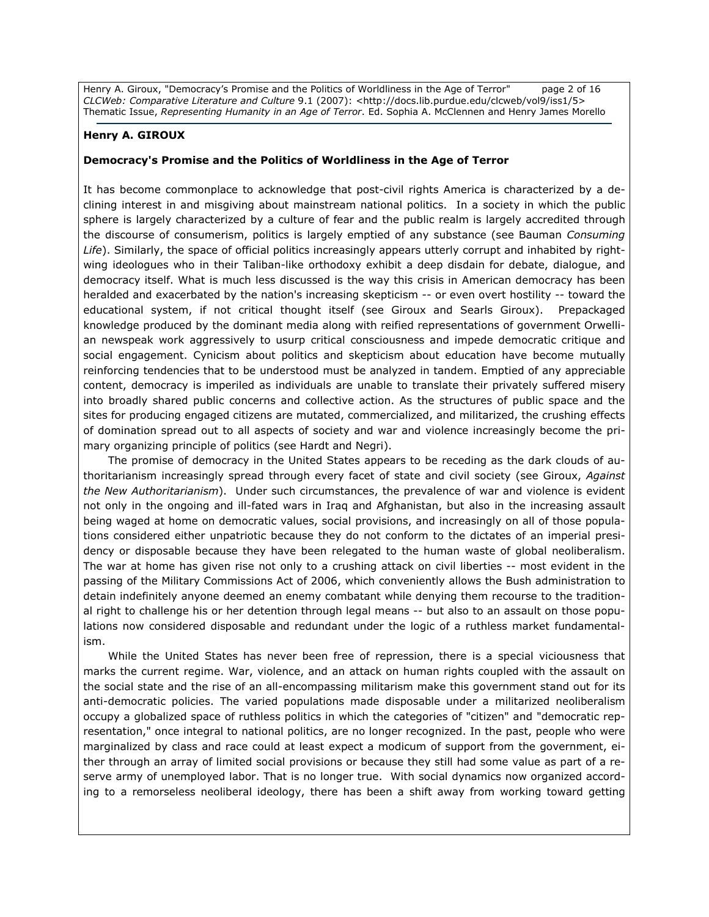Henry A. Giroux, "Democracy's Promise and the Politics of Worldliness in the Age of Terror" page 2 of 16 CLCWeb: Comparative Literature and Culture 9.1 (2007): <http://docs.lib.purdue.edu/clcweb/vol9/iss1/5> Thematic Issue, Representing Humanity in an Age of Terror. Ed. Sophia A. McClennen and Henry James Morello

#### Henry A. GIROUX

#### Democracy's Promise and the Politics of Worldliness in the Age of Terror

It has become commonplace to acknowledge that post-civil rights America is characterized by a declining interest in and misgiving about mainstream national politics. In a society in which the public sphere is largely characterized by a culture of fear and the public realm is largely accredited through the discourse of consumerism, politics is largely emptied of any substance (see Bauman Consuming Life). Similarly, the space of official politics increasingly appears utterly corrupt and inhabited by rightwing ideologues who in their Taliban-like orthodoxy exhibit a deep disdain for debate, dialogue, and democracy itself. What is much less discussed is the way this crisis in American democracy has been heralded and exacerbated by the nation's increasing skepticism -- or even overt hostility -- toward the educational system, if not critical thought itself (see Giroux and Searls Giroux). Prepackaged knowledge produced by the dominant media along with reified representations of government Orwellian newspeak work aggressively to usurp critical consciousness and impede democratic critique and social engagement. Cynicism about politics and skepticism about education have become mutually reinforcing tendencies that to be understood must be analyzed in tandem. Emptied of any appreciable content, democracy is imperiled as individuals are unable to translate their privately suffered misery into broadly shared public concerns and collective action. As the structures of public space and the sites for producing engaged citizens are mutated, commercialized, and militarized, the crushing effects of domination spread out to all aspects of society and war and violence increasingly become the primary organizing principle of politics (see Hardt and Negri).

 The promise of democracy in the United States appears to be receding as the dark clouds of authoritarianism increasingly spread through every facet of state and civil society (see Giroux, Against the New Authoritarianism). Under such circumstances, the prevalence of war and violence is evident not only in the ongoing and ill-fated wars in Iraq and Afghanistan, but also in the increasing assault being waged at home on democratic values, social provisions, and increasingly on all of those populations considered either unpatriotic because they do not conform to the dictates of an imperial presidency or disposable because they have been relegated to the human waste of global neoliberalism. The war at home has given rise not only to a crushing attack on civil liberties -- most evident in the passing of the Military Commissions Act of 2006, which conveniently allows the Bush administration to detain indefinitely anyone deemed an enemy combatant while denying them recourse to the traditional right to challenge his or her detention through legal means -- but also to an assault on those populations now considered disposable and redundant under the logic of a ruthless market fundamentalism.

 While the United States has never been free of repression, there is a special viciousness that marks the current regime. War, violence, and an attack on human rights coupled with the assault on the social state and the rise of an all-encompassing militarism make this government stand out for its anti-democratic policies. The varied populations made disposable under a militarized neoliberalism occupy a globalized space of ruthless politics in which the categories of "citizen" and "democratic representation," once integral to national politics, are no longer recognized. In the past, people who were marginalized by class and race could at least expect a modicum of support from the government, either through an array of limited social provisions or because they still had some value as part of a reserve army of unemployed labor. That is no longer true. With social dynamics now organized according to a remorseless neoliberal ideology, there has been a shift away from working toward getting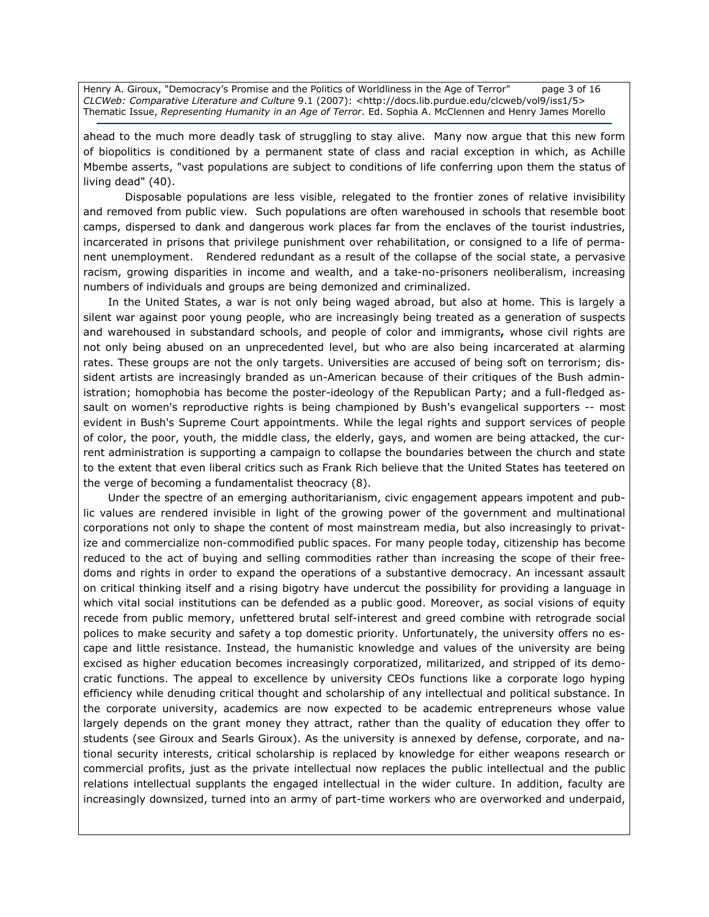Henry A. Giroux, "Democracy's Promise and the Politics of Worldliness in the Age of Terror" page 3 of 16 CLCWeb: Comparative Literature and Culture 9.1 (2007): <http://docs.lib.purdue.edu/clcweb/vol9/iss1/5> Thematic Issue, Representing Humanity in an Age of Terror. Ed. Sophia A. McClennen and Henry James Morello

ahead to the much more deadly task of struggling to stay alive. Many now argue that this new form of biopolitics is conditioned by a permanent state of class and racial exception in which, as Achille Mbembe asserts, "vast populations are subject to conditions of life conferring upon them the status of living dead" (40).

Disposable populations are less visible, relegated to the frontier zones of relative invisibility and removed from public view. Such populations are often warehoused in schools that resemble boot camps, dispersed to dank and dangerous work places far from the enclaves of the tourist industries, incarcerated in prisons that privilege punishment over rehabilitation, or consigned to a life of permanent unemployment. Rendered redundant as a result of the collapse of the social state, a pervasive racism, growing disparities in income and wealth, and a take-no-prisoners neoliberalism, increasing numbers of individuals and groups are being demonized and criminalized.

In the United States, a war is not only being waged abroad, but also at home. This is largely a silent war against poor young people, who are increasingly being treated as a generation of suspects and warehoused in substandard schools, and people of color and immigrants, whose civil rights are not only being abused on an unprecedented level, but who are also being incarcerated at alarming rates. These groups are not the only targets. Universities are accused of being soft on terrorism; dissident artists are increasingly branded as un-American because of their critiques of the Bush administration; homophobia has become the poster-ideology of the Republican Party; and a full-fledged assault on women's reproductive rights is being championed by Bush's evangelical supporters -- most evident in Bush's Supreme Court appointments. While the legal rights and support services of people of color, the poor, youth, the middle class, the elderly, gays, and women are being attacked, the current administration is supporting a campaign to collapse the boundaries between the church and state to the extent that even liberal critics such as Frank Rich believe that the United States has teetered on the verge of becoming a fundamentalist theocracy (8).

 Under the spectre of an emerging authoritarianism, civic engagement appears impotent and public values are rendered invisible in light of the growing power of the government and multinational corporations not only to shape the content of most mainstream media, but also increasingly to privatize and commercialize non-commodified public spaces. For many people today, citizenship has become reduced to the act of buying and selling commodities rather than increasing the scope of their freedoms and rights in order to expand the operations of a substantive democracy. An incessant assault on critical thinking itself and a rising bigotry have undercut the possibility for providing a language in which vital social institutions can be defended as a public good. Moreover, as social visions of equity recede from public memory, unfettered brutal self-interest and greed combine with retrograde social polices to make security and safety a top domestic priority. Unfortunately, the university offers no escape and little resistance. Instead, the humanistic knowledge and values of the university are being excised as higher education becomes increasingly corporatized, militarized, and stripped of its democratic functions. The appeal to excellence by university CEOs functions like a corporate logo hyping efficiency while denuding critical thought and scholarship of any intellectual and political substance. In the corporate university, academics are now expected to be academic entrepreneurs whose value largely depends on the grant money they attract, rather than the quality of education they offer to students (see Giroux and Searls Giroux). As the university is annexed by defense, corporate, and national security interests, critical scholarship is replaced by knowledge for either weapons research or commercial profits, just as the private intellectual now replaces the public intellectual and the public relations intellectual supplants the engaged intellectual in the wider culture. In addition, faculty are increasingly downsized, turned into an army of part-time workers who are overworked and underpaid,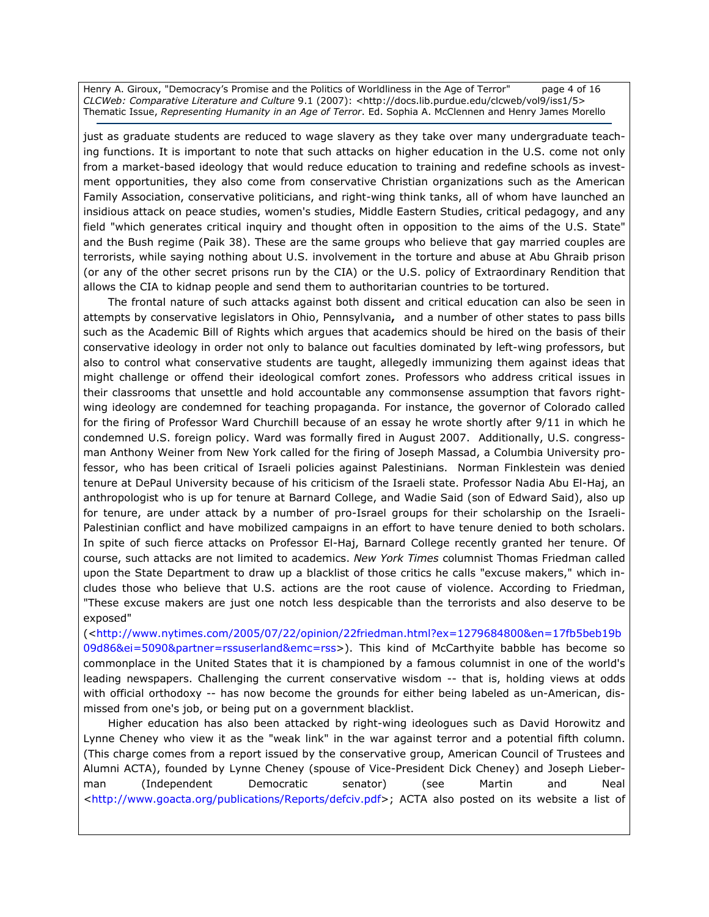Henry A. Giroux, "Democracy's Promise and the Politics of Worldliness in the Age of Terror" page 4 of 16 CLCWeb: Comparative Literature and Culture 9.1 (2007): <http://docs.lib.purdue.edu/clcweb/vol9/iss1/5> Thematic Issue, Representing Humanity in an Age of Terror. Ed. Sophia A. McClennen and Henry James Morello

just as graduate students are reduced to wage slavery as they take over many undergraduate teaching functions. It is important to note that such attacks on higher education in the U.S. come not only from a market-based ideology that would reduce education to training and redefine schools as investment opportunities, they also come from conservative Christian organizations such as the American Family Association, conservative politicians, and right-wing think tanks, all of whom have launched an insidious attack on peace studies, women's studies, Middle Eastern Studies, critical pedagogy, and any field "which generates critical inquiry and thought often in opposition to the aims of the U.S. State" and the Bush regime (Paik 38). These are the same groups who believe that gay married couples are terrorists, while saying nothing about U.S. involvement in the torture and abuse at Abu Ghraib prison (or any of the other secret prisons run by the CIA) or the U.S. policy of Extraordinary Rendition that allows the CIA to kidnap people and send them to authoritarian countries to be tortured.

 The frontal nature of such attacks against both dissent and critical education can also be seen in attempts by conservative legislators in Ohio, Pennsylvania, and a number of other states to pass bills such as the Academic Bill of Rights which argues that academics should be hired on the basis of their conservative ideology in order not only to balance out faculties dominated by left-wing professors, but also to control what conservative students are taught, allegedly immunizing them against ideas that might challenge or offend their ideological comfort zones. Professors who address critical issues in their classrooms that unsettle and hold accountable any commonsense assumption that favors rightwing ideology are condemned for teaching propaganda. For instance, the governor of Colorado called for the firing of Professor Ward Churchill because of an essay he wrote shortly after 9/11 in which he condemned U.S. foreign policy. Ward was formally fired in August 2007. Additionally, U.S. congressman Anthony Weiner from New York called for the firing of Joseph Massad, a Columbia University professor, who has been critical of Israeli policies against Palestinians. Norman Finklestein was denied tenure at DePaul University because of his criticism of the Israeli state. Professor Nadia Abu El-Haj, an anthropologist who is up for tenure at Barnard College, and Wadie Said (son of Edward Said), also up for tenure, are under attack by a number of pro-Israel groups for their scholarship on the Israeli-Palestinian conflict and have mobilized campaigns in an effort to have tenure denied to both scholars. In spite of such fierce attacks on Professor El-Haj, Barnard College recently granted her tenure. Of course, such attacks are not limited to academics. New York Times columnist Thomas Friedman called upon the State Department to draw up a blacklist of those critics he calls "excuse makers," which includes those who believe that U.S. actions are the root cause of violence. According to Friedman, "These excuse makers are just one notch less despicable than the terrorists and also deserve to be exposed"

(<http://www.nytimes.com/2005/07/22/opinion/22friedman.html?ex=1279684800&en=17fb5beb19b 09d86&ei=5090&partner=rssuserland&emc=rss>). This kind of McCarthyite babble has become so commonplace in the United States that it is championed by a famous columnist in one of the world's leading newspapers. Challenging the current conservative wisdom -- that is, holding views at odds with official orthodoxy -- has now become the grounds for either being labeled as un-American, dismissed from one's job, or being put on a government blacklist.

 Higher education has also been attacked by right-wing ideologues such as David Horowitz and Lynne Cheney who view it as the "weak link" in the war against terror and a potential fifth column. (This charge comes from a report issued by the conservative group, American Council of Trustees and Alumni ACTA), founded by Lynne Cheney (spouse of Vice-President Dick Cheney) and Joseph Lieberman (Independent Democratic senator) (see Martin and Neal <http://www.goacta.org/publications/Reports/defciv.pdf>; ACTA also posted on its website a list of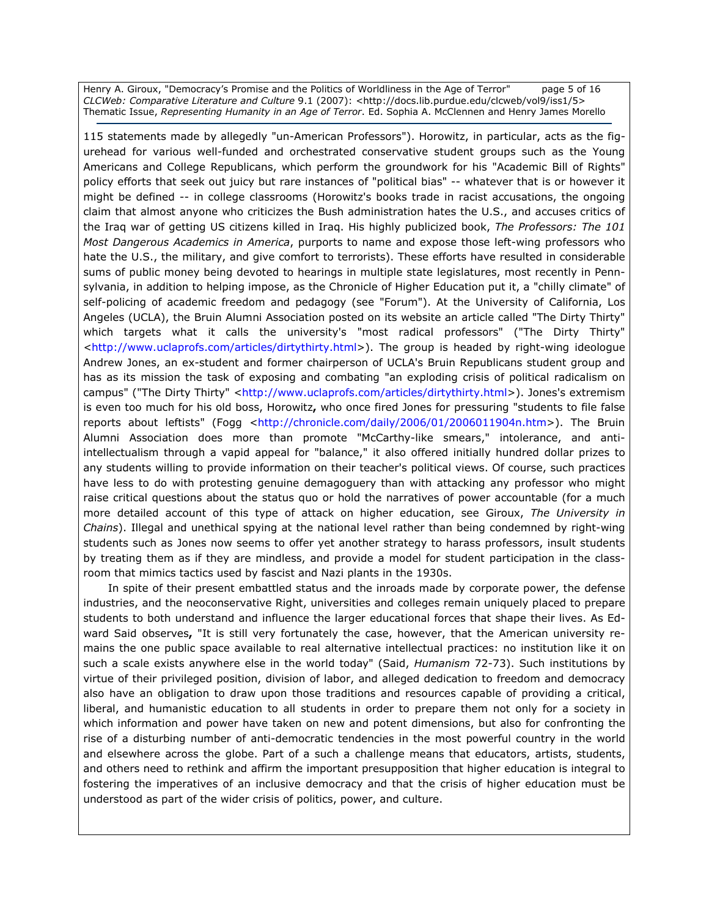Henry A. Giroux, "Democracy's Promise and the Politics of Worldliness in the Age of Terror" page 5 of 16 CLCWeb: Comparative Literature and Culture 9.1 (2007): <http://docs.lib.purdue.edu/clcweb/vol9/iss1/5> Thematic Issue, Representing Humanity in an Age of Terror. Ed. Sophia A. McClennen and Henry James Morello

115 statements made by allegedly "un-American Professors"). Horowitz, in particular, acts as the figurehead for various well-funded and orchestrated conservative student groups such as the Young Americans and College Republicans, which perform the groundwork for his "Academic Bill of Rights" policy efforts that seek out juicy but rare instances of "political bias" -- whatever that is or however it might be defined -- in college classrooms (Horowitz's books trade in racist accusations, the ongoing claim that almost anyone who criticizes the Bush administration hates the U.S., and accuses critics of the Iraq war of getting US citizens killed in Iraq. His highly publicized book, The Professors: The 101 Most Dangerous Academics in America, purports to name and expose those left-wing professors who hate the U.S., the military, and give comfort to terrorists). These efforts have resulted in considerable sums of public money being devoted to hearings in multiple state legislatures, most recently in Pennsylvania, in addition to helping impose, as the Chronicle of Higher Education put it, a "chilly climate" of self-policing of academic freedom and pedagogy (see "Forum"). At the University of California, Los Angeles (UCLA), the Bruin Alumni Association posted on its website an article called "The Dirty Thirty" which targets what it calls the university's "most radical professors" ("The Dirty Thirty" <http://www.uclaprofs.com/articles/dirtythirty.html>). The group is headed by right-wing ideologue Andrew Jones, an ex-student and former chairperson of UCLA's Bruin Republicans student group and has as its mission the task of exposing and combating "an exploding crisis of political radicalism on campus" ("The Dirty Thirty" <http://www.uclaprofs.com/articles/dirtythirty.html>). Jones's extremism is even too much for his old boss, Horowitz, who once fired Jones for pressuring "students to file false reports about leftists" (Fogg <http://chronicle.com/daily/2006/01/2006011904n.htm>). The Bruin Alumni Association does more than promote "McCarthy-like smears," intolerance, and antiintellectualism through a vapid appeal for "balance," it also offered initially hundred dollar prizes to any students willing to provide information on their teacher's political views. Of course, such practices have less to do with protesting genuine demagoguery than with attacking any professor who might raise critical questions about the status quo or hold the narratives of power accountable (for a much more detailed account of this type of attack on higher education, see Giroux, The University in Chains). Illegal and unethical spying at the national level rather than being condemned by right-wing students such as Jones now seems to offer yet another strategy to harass professors, insult students by treating them as if they are mindless, and provide a model for student participation in the classroom that mimics tactics used by fascist and Nazi plants in the 1930s.

 In spite of their present embattled status and the inroads made by corporate power, the defense industries, and the neoconservative Right, universities and colleges remain uniquely placed to prepare students to both understand and influence the larger educational forces that shape their lives. As Edward Said observes, "It is still very fortunately the case, however, that the American university remains the one public space available to real alternative intellectual practices: no institution like it on such a scale exists anywhere else in the world today" (Said, Humanism 72-73). Such institutions by virtue of their privileged position, division of labor, and alleged dedication to freedom and democracy also have an obligation to draw upon those traditions and resources capable of providing a critical, liberal, and humanistic education to all students in order to prepare them not only for a society in which information and power have taken on new and potent dimensions, but also for confronting the rise of a disturbing number of anti-democratic tendencies in the most powerful country in the world and elsewhere across the globe. Part of a such a challenge means that educators, artists, students, and others need to rethink and affirm the important presupposition that higher education is integral to fostering the imperatives of an inclusive democracy and that the crisis of higher education must be understood as part of the wider crisis of politics, power, and culture.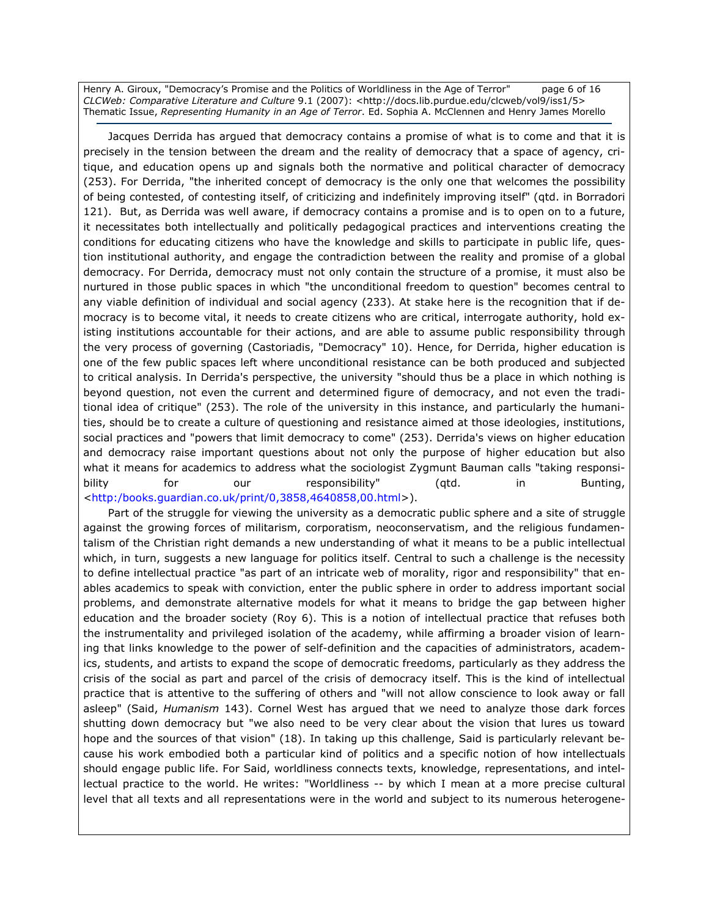Henry A. Giroux, "Democracy's Promise and the Politics of Worldliness in the Age of Terror" page 6 of 16 CLCWeb: Comparative Literature and Culture 9.1 (2007): <http://docs.lib.purdue.edu/clcweb/vol9/iss1/5> Thematic Issue, Representing Humanity in an Age of Terror. Ed. Sophia A. McClennen and Henry James Morello

 Jacques Derrida has argued that democracy contains a promise of what is to come and that it is precisely in the tension between the dream and the reality of democracy that a space of agency, critique, and education opens up and signals both the normative and political character of democracy (253). For Derrida, "the inherited concept of democracy is the only one that welcomes the possibility of being contested, of contesting itself, of criticizing and indefinitely improving itself" (qtd. in Borradori 121). But, as Derrida was well aware, if democracy contains a promise and is to open on to a future, it necessitates both intellectually and politically pedagogical practices and interventions creating the conditions for educating citizens who have the knowledge and skills to participate in public life, question institutional authority, and engage the contradiction between the reality and promise of a global democracy. For Derrida, democracy must not only contain the structure of a promise, it must also be nurtured in those public spaces in which "the unconditional freedom to question" becomes central to any viable definition of individual and social agency (233). At stake here is the recognition that if democracy is to become vital, it needs to create citizens who are critical, interrogate authority, hold existing institutions accountable for their actions, and are able to assume public responsibility through the very process of governing (Castoriadis, "Democracy" 10). Hence, for Derrida, higher education is one of the few public spaces left where unconditional resistance can be both produced and subjected to critical analysis. In Derrida's perspective, the university "should thus be a place in which nothing is beyond question, not even the current and determined figure of democracy, and not even the traditional idea of critique" (253). The role of the university in this instance, and particularly the humanities, should be to create a culture of questioning and resistance aimed at those ideologies, institutions, social practices and "powers that limit democracy to come" (253). Derrida's views on higher education and democracy raise important questions about not only the purpose of higher education but also what it means for academics to address what the sociologist Zygmunt Bauman calls "taking responsibility for our responsibility" (qtd. in Bunting, <http:/books.guardian.co.uk/print/0,3858,4640858,00.html>).

 Part of the struggle for viewing the university as a democratic public sphere and a site of struggle against the growing forces of militarism, corporatism, neoconservatism, and the religious fundamentalism of the Christian right demands a new understanding of what it means to be a public intellectual which, in turn, suggests a new language for politics itself. Central to such a challenge is the necessity to define intellectual practice "as part of an intricate web of morality, rigor and responsibility" that enables academics to speak with conviction, enter the public sphere in order to address important social problems, and demonstrate alternative models for what it means to bridge the gap between higher education and the broader society (Roy 6). This is a notion of intellectual practice that refuses both the instrumentality and privileged isolation of the academy, while affirming a broader vision of learning that links knowledge to the power of self-definition and the capacities of administrators, academics, students, and artists to expand the scope of democratic freedoms, particularly as they address the crisis of the social as part and parcel of the crisis of democracy itself. This is the kind of intellectual practice that is attentive to the suffering of others and "will not allow conscience to look away or fall asleep" (Said, Humanism 143). Cornel West has arqued that we need to analyze those dark forces shutting down democracy but "we also need to be very clear about the vision that lures us toward hope and the sources of that vision" (18). In taking up this challenge, Said is particularly relevant because his work embodied both a particular kind of politics and a specific notion of how intellectuals should engage public life. For Said, worldliness connects texts, knowledge, representations, and intellectual practice to the world. He writes: "Worldliness -- by which I mean at a more precise cultural level that all texts and all representations were in the world and subject to its numerous heterogene-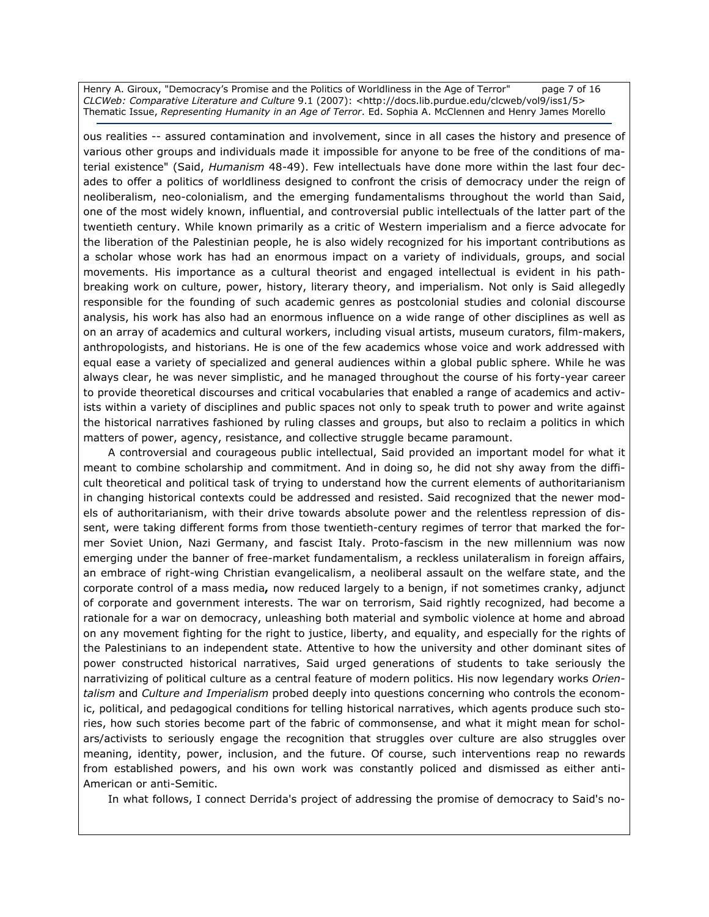Henry A. Giroux, "Democracy's Promise and the Politics of Worldliness in the Age of Terror" page 7 of 16 CLCWeb: Comparative Literature and Culture 9.1 (2007): <http://docs.lib.purdue.edu/clcweb/vol9/iss1/5> Thematic Issue, Representing Humanity in an Age of Terror. Ed. Sophia A. McClennen and Henry James Morello

ous realities -- assured contamination and involvement, since in all cases the history and presence of various other groups and individuals made it impossible for anyone to be free of the conditions of material existence" (Said, Humanism 48-49). Few intellectuals have done more within the last four decades to offer a politics of worldliness designed to confront the crisis of democracy under the reign of neoliberalism, neo-colonialism, and the emerging fundamentalisms throughout the world than Said, one of the most widely known, influential, and controversial public intellectuals of the latter part of the twentieth century. While known primarily as a critic of Western imperialism and a fierce advocate for the liberation of the Palestinian people, he is also widely recognized for his important contributions as a scholar whose work has had an enormous impact on a variety of individuals, groups, and social movements. His importance as a cultural theorist and engaged intellectual is evident in his pathbreaking work on culture, power, history, literary theory, and imperialism. Not only is Said allegedly responsible for the founding of such academic genres as postcolonial studies and colonial discourse analysis, his work has also had an enormous influence on a wide range of other disciplines as well as on an array of academics and cultural workers, including visual artists, museum curators, film-makers, anthropologists, and historians. He is one of the few academics whose voice and work addressed with equal ease a variety of specialized and general audiences within a global public sphere. While he was always clear, he was never simplistic, and he managed throughout the course of his forty-year career to provide theoretical discourses and critical vocabularies that enabled a range of academics and activists within a variety of disciplines and public spaces not only to speak truth to power and write against the historical narratives fashioned by ruling classes and groups, but also to reclaim a politics in which matters of power, agency, resistance, and collective struggle became paramount.

 A controversial and courageous public intellectual, Said provided an important model for what it meant to combine scholarship and commitment. And in doing so, he did not shy away from the difficult theoretical and political task of trying to understand how the current elements of authoritarianism in changing historical contexts could be addressed and resisted. Said recognized that the newer models of authoritarianism, with their drive towards absolute power and the relentless repression of dissent, were taking different forms from those twentieth-century regimes of terror that marked the former Soviet Union, Nazi Germany, and fascist Italy. Proto-fascism in the new millennium was now emerging under the banner of free-market fundamentalism, a reckless unilateralism in foreign affairs, an embrace of right-wing Christian evangelicalism, a neoliberal assault on the welfare state, and the corporate control of a mass media, now reduced largely to a benign, if not sometimes cranky, adjunct of corporate and government interests. The war on terrorism, Said rightly recognized, had become a rationale for a war on democracy, unleashing both material and symbolic violence at home and abroad on any movement fighting for the right to justice, liberty, and equality, and especially for the rights of the Palestinians to an independent state. Attentive to how the university and other dominant sites of power constructed historical narratives, Said urged generations of students to take seriously the narrativizing of political culture as a central feature of modern politics. His now legendary works Orientalism and Culture and Imperialism probed deeply into questions concerning who controls the economic, political, and pedagogical conditions for telling historical narratives, which agents produce such stories, how such stories become part of the fabric of commonsense, and what it might mean for scholars/activists to seriously engage the recognition that struggles over culture are also struggles over meaning, identity, power, inclusion, and the future. Of course, such interventions reap no rewards from established powers, and his own work was constantly policed and dismissed as either anti-American or anti-Semitic.

In what follows, I connect Derrida's project of addressing the promise of democracy to Said's no-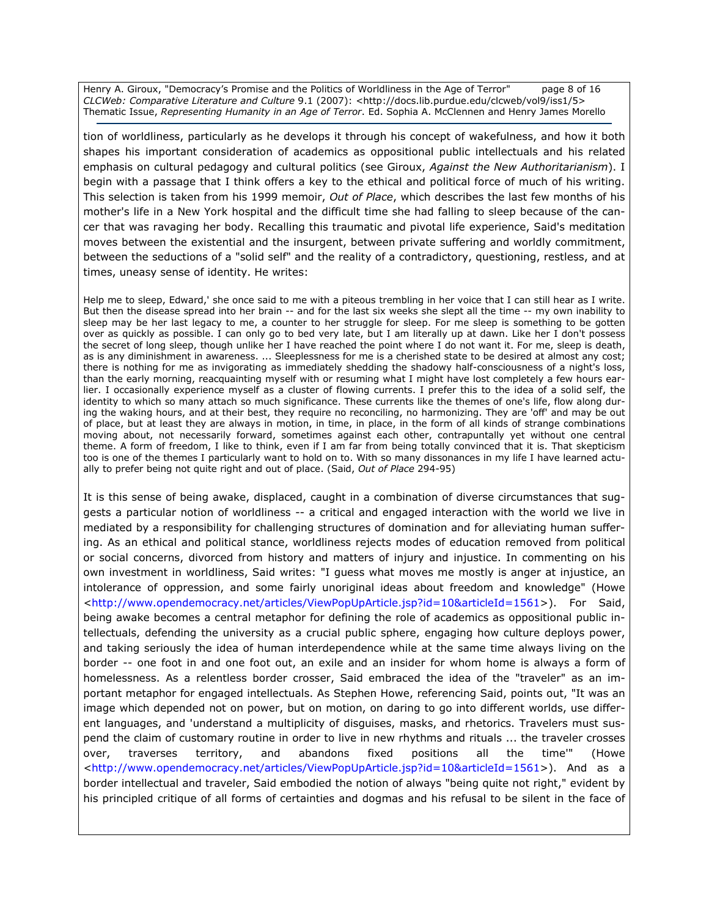Henry A. Giroux, "Democracy's Promise and the Politics of Worldliness in the Age of Terror" page 8 of 16 CLCWeb: Comparative Literature and Culture 9.1 (2007): <http://docs.lib.purdue.edu/clcweb/vol9/iss1/5> Thematic Issue, Representing Humanity in an Age of Terror. Ed. Sophia A. McClennen and Henry James Morello

tion of worldliness, particularly as he develops it through his concept of wakefulness, and how it both shapes his important consideration of academics as oppositional public intellectuals and his related emphasis on cultural pedagogy and cultural politics (see Giroux, Against the New Authoritarianism). I begin with a passage that I think offers a key to the ethical and political force of much of his writing. This selection is taken from his 1999 memoir, Out of Place, which describes the last few months of his mother's life in a New York hospital and the difficult time she had falling to sleep because of the cancer that was ravaging her body. Recalling this traumatic and pivotal life experience, Said's meditation moves between the existential and the insurgent, between private suffering and worldly commitment, between the seductions of a "solid self" and the reality of a contradictory, questioning, restless, and at times, uneasy sense of identity. He writes:

Help me to sleep, Edward,' she once said to me with a piteous trembling in her voice that I can still hear as I write. But then the disease spread into her brain -- and for the last six weeks she slept all the time -- my own inability to sleep may be her last legacy to me, a counter to her struggle for sleep. For me sleep is something to be gotten over as quickly as possible. I can only go to bed very late, but I am literally up at dawn. Like her I don't possess the secret of long sleep, though unlike her I have reached the point where I do not want it. For me, sleep is death, as is any diminishment in awareness. ... Sleeplessness for me is a cherished state to be desired at almost any cost; there is nothing for me as invigorating as immediately shedding the shadowy half-consciousness of a night's loss, than the early morning, reacquainting myself with or resuming what I might have lost completely a few hours earlier. I occasionally experience myself as a cluster of flowing currents. I prefer this to the idea of a solid self, the identity to which so many attach so much significance. These currents like the themes of one's life, flow along during the waking hours, and at their best, they require no reconciling, no harmonizing. They are 'off' and may be out of place, but at least they are always in motion, in time, in place, in the form of all kinds of strange combinations moving about, not necessarily forward, sometimes against each other, contrapuntally yet without one central theme. A form of freedom, I like to think, even if I am far from being totally convinced that it is. That skepticism too is one of the themes I particularly want to hold on to. With so many dissonances in my life I have learned actually to prefer being not quite right and out of place. (Said, Out of Place 294-95)

It is this sense of being awake, displaced, caught in a combination of diverse circumstances that suggests a particular notion of worldliness -- a critical and engaged interaction with the world we live in mediated by a responsibility for challenging structures of domination and for alleviating human suffering. As an ethical and political stance, worldliness rejects modes of education removed from political or social concerns, divorced from history and matters of injury and injustice. In commenting on his own investment in worldliness, Said writes: "I guess what moves me mostly is anger at injustice, an intolerance of oppression, and some fairly unoriginal ideas about freedom and knowledge" (Howe <http://www.opendemocracy.net/articles/ViewPopUpArticle.jsp?id=10&articleId=1561>). For Said, being awake becomes a central metaphor for defining the role of academics as oppositional public intellectuals, defending the university as a crucial public sphere, engaging how culture deploys power, and taking seriously the idea of human interdependence while at the same time always living on the border -- one foot in and one foot out, an exile and an insider for whom home is always a form of homelessness. As a relentless border crosser, Said embraced the idea of the "traveler" as an important metaphor for engaged intellectuals. As Stephen Howe, referencing Said, points out, "It was an image which depended not on power, but on motion, on daring to go into different worlds, use different languages, and 'understand a multiplicity of disguises, masks, and rhetorics. Travelers must suspend the claim of customary routine in order to live in new rhythms and rituals ... the traveler crosses over, traverses territory, and abandons fixed positions all the time'" (Howe <http://www.opendemocracy.net/articles/ViewPopUpArticle.jsp?id=10&articleId=1561>). And as a border intellectual and traveler, Said embodied the notion of always "being quite not right," evident by his principled critique of all forms of certainties and dogmas and his refusal to be silent in the face of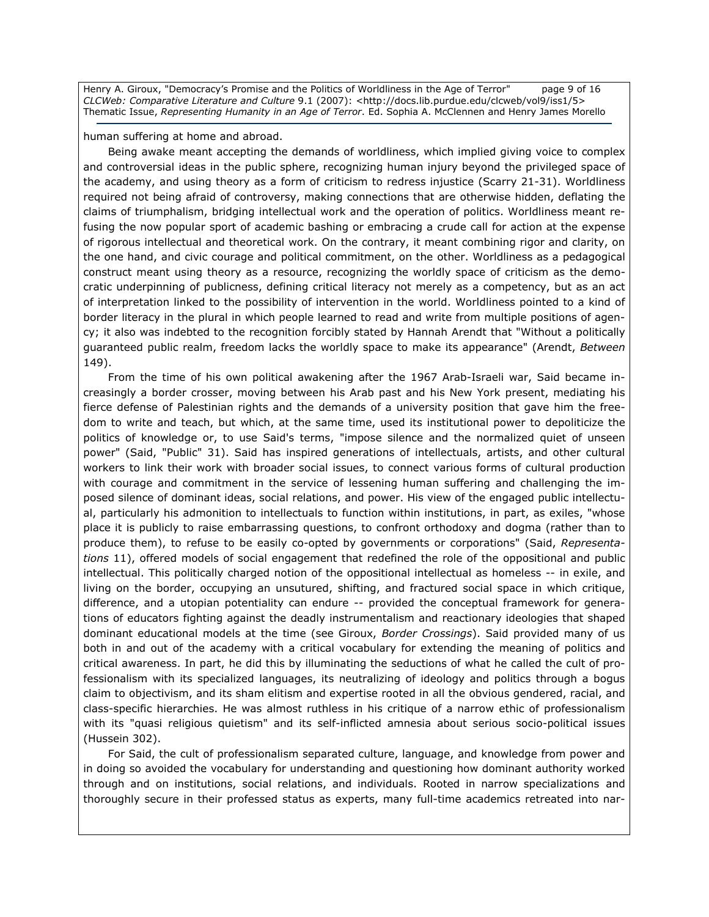Henry A. Giroux, "Democracy's Promise and the Politics of Worldliness in the Age of Terror" page 9 of 16 CLCWeb: Comparative Literature and Culture 9.1 (2007): <http://docs.lib.purdue.edu/clcweb/vol9/iss1/5> Thematic Issue, Representing Humanity in an Age of Terror. Ed. Sophia A. McClennen and Henry James Morello

human suffering at home and abroad.

 Being awake meant accepting the demands of worldliness, which implied giving voice to complex and controversial ideas in the public sphere, recognizing human injury beyond the privileged space of the academy, and using theory as a form of criticism to redress injustice (Scarry 21-31). Worldliness required not being afraid of controversy, making connections that are otherwise hidden, deflating the claims of triumphalism, bridging intellectual work and the operation of politics. Worldliness meant refusing the now popular sport of academic bashing or embracing a crude call for action at the expense of rigorous intellectual and theoretical work. On the contrary, it meant combining rigor and clarity, on the one hand, and civic courage and political commitment, on the other. Worldliness as a pedagogical construct meant using theory as a resource, recognizing the worldly space of criticism as the democratic underpinning of publicness, defining critical literacy not merely as a competency, but as an act of interpretation linked to the possibility of intervention in the world. Worldliness pointed to a kind of border literacy in the plural in which people learned to read and write from multiple positions of agency; it also was indebted to the recognition forcibly stated by Hannah Arendt that "Without a politically guaranteed public realm, freedom lacks the worldly space to make its appearance" (Arendt, Between 149).

 From the time of his own political awakening after the 1967 Arab-Israeli war, Said became increasingly a border crosser, moving between his Arab past and his New York present, mediating his fierce defense of Palestinian rights and the demands of a university position that gave him the freedom to write and teach, but which, at the same time, used its institutional power to depoliticize the politics of knowledge or, to use Said's terms, "impose silence and the normalized quiet of unseen power" (Said, "Public" 31). Said has inspired generations of intellectuals, artists, and other cultural workers to link their work with broader social issues, to connect various forms of cultural production with courage and commitment in the service of lessening human suffering and challenging the imposed silence of dominant ideas, social relations, and power. His view of the engaged public intellectual, particularly his admonition to intellectuals to function within institutions, in part, as exiles, "whose place it is publicly to raise embarrassing questions, to confront orthodoxy and dogma (rather than to produce them), to refuse to be easily co-opted by governments or corporations" (Said, Representations 11), offered models of social engagement that redefined the role of the oppositional and public intellectual. This politically charged notion of the oppositional intellectual as homeless -- in exile, and living on the border, occupying an unsutured, shifting, and fractured social space in which critique, difference, and a utopian potentiality can endure -- provided the conceptual framework for generations of educators fighting against the deadly instrumentalism and reactionary ideologies that shaped dominant educational models at the time (see Giroux, Border Crossings). Said provided many of us both in and out of the academy with a critical vocabulary for extending the meaning of politics and critical awareness. In part, he did this by illuminating the seductions of what he called the cult of professionalism with its specialized languages, its neutralizing of ideology and politics through a bogus claim to objectivism, and its sham elitism and expertise rooted in all the obvious gendered, racial, and class-specific hierarchies. He was almost ruthless in his critique of a narrow ethic of professionalism with its "quasi religious quietism" and its self-inflicted amnesia about serious socio-political issues (Hussein 302).

 For Said, the cult of professionalism separated culture, language, and knowledge from power and in doing so avoided the vocabulary for understanding and questioning how dominant authority worked through and on institutions, social relations, and individuals. Rooted in narrow specializations and thoroughly secure in their professed status as experts, many full-time academics retreated into nar-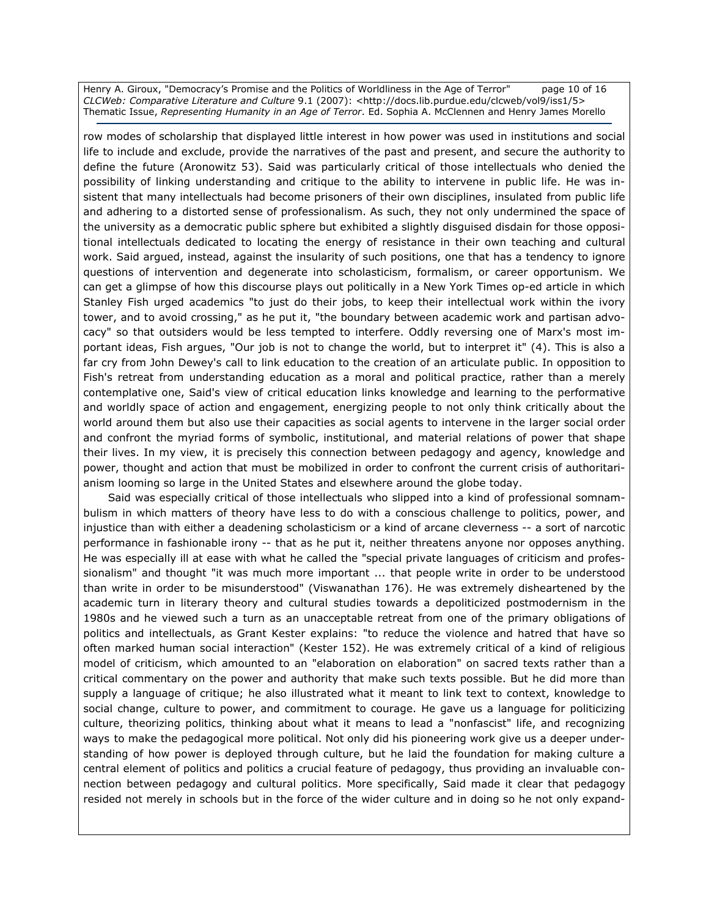Henry A. Giroux, "Democracy's Promise and the Politics of Worldliness in the Age of Terror" page 10 of 16 CLCWeb: Comparative Literature and Culture 9.1 (2007): <http://docs.lib.purdue.edu/clcweb/vol9/iss1/5> Thematic Issue, Representing Humanity in an Age of Terror. Ed. Sophia A. McClennen and Henry James Morello

row modes of scholarship that displayed little interest in how power was used in institutions and social life to include and exclude, provide the narratives of the past and present, and secure the authority to define the future (Aronowitz 53). Said was particularly critical of those intellectuals who denied the possibility of linking understanding and critique to the ability to intervene in public life. He was insistent that many intellectuals had become prisoners of their own disciplines, insulated from public life and adhering to a distorted sense of professionalism. As such, they not only undermined the space of the university as a democratic public sphere but exhibited a slightly disguised disdain for those oppositional intellectuals dedicated to locating the energy of resistance in their own teaching and cultural work. Said argued, instead, against the insularity of such positions, one that has a tendency to ignore questions of intervention and degenerate into scholasticism, formalism, or career opportunism. We can get a glimpse of how this discourse plays out politically in a New York Times op-ed article in which Stanley Fish urged academics "to just do their jobs, to keep their intellectual work within the ivory tower, and to avoid crossing," as he put it, "the boundary between academic work and partisan advocacy" so that outsiders would be less tempted to interfere. Oddly reversing one of Marx's most important ideas, Fish argues, "Our job is not to change the world, but to interpret it" (4). This is also a far cry from John Dewey's call to link education to the creation of an articulate public. In opposition to Fish's retreat from understanding education as a moral and political practice, rather than a merely contemplative one, Said's view of critical education links knowledge and learning to the performative and worldly space of action and engagement, energizing people to not only think critically about the world around them but also use their capacities as social agents to intervene in the larger social order and confront the myriad forms of symbolic, institutional, and material relations of power that shape their lives. In my view, it is precisely this connection between pedagogy and agency, knowledge and power, thought and action that must be mobilized in order to confront the current crisis of authoritarianism looming so large in the United States and elsewhere around the globe today.

 Said was especially critical of those intellectuals who slipped into a kind of professional somnambulism in which matters of theory have less to do with a conscious challenge to politics, power, and injustice than with either a deadening scholasticism or a kind of arcane cleverness -- a sort of narcotic performance in fashionable irony -- that as he put it, neither threatens anyone nor opposes anything. He was especially ill at ease with what he called the "special private languages of criticism and professionalism" and thought "it was much more important ... that people write in order to be understood than write in order to be misunderstood" (Viswanathan 176). He was extremely disheartened by the academic turn in literary theory and cultural studies towards a depoliticized postmodernism in the 1980s and he viewed such a turn as an unacceptable retreat from one of the primary obligations of politics and intellectuals, as Grant Kester explains: "to reduce the violence and hatred that have so often marked human social interaction" (Kester 152). He was extremely critical of a kind of religious model of criticism, which amounted to an "elaboration on elaboration" on sacred texts rather than a critical commentary on the power and authority that make such texts possible. But he did more than supply a language of critique; he also illustrated what it meant to link text to context, knowledge to social change, culture to power, and commitment to courage. He gave us a language for politicizing culture, theorizing politics, thinking about what it means to lead a "nonfascist" life, and recognizing ways to make the pedagogical more political. Not only did his pioneering work give us a deeper understanding of how power is deployed through culture, but he laid the foundation for making culture a central element of politics and politics a crucial feature of pedagogy, thus providing an invaluable connection between pedagogy and cultural politics. More specifically, Said made it clear that pedagogy resided not merely in schools but in the force of the wider culture and in doing so he not only expand-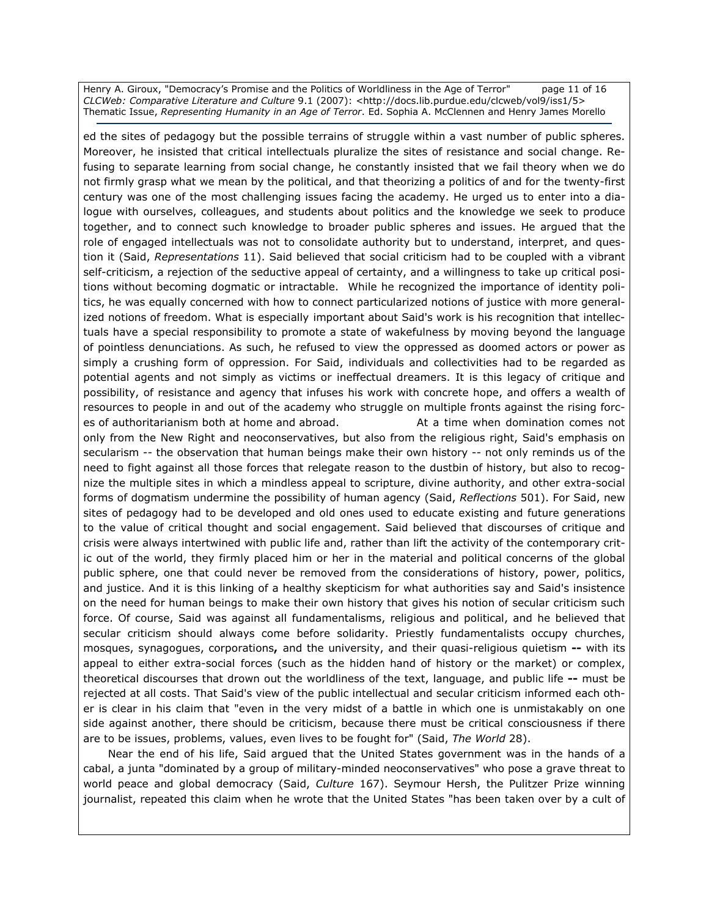Henry A. Giroux, "Democracy's Promise and the Politics of Worldliness in the Age of Terror" page 11 of 16 CLCWeb: Comparative Literature and Culture 9.1 (2007): <http://docs.lib.purdue.edu/clcweb/vol9/iss1/5> Thematic Issue, Representing Humanity in an Age of Terror. Ed. Sophia A. McClennen and Henry James Morello

ed the sites of pedagogy but the possible terrains of struggle within a vast number of public spheres. Moreover, he insisted that critical intellectuals pluralize the sites of resistance and social change. Refusing to separate learning from social change, he constantly insisted that we fail theory when we do not firmly grasp what we mean by the political, and that theorizing a politics of and for the twenty-first century was one of the most challenging issues facing the academy. He urged us to enter into a dialogue with ourselves, colleagues, and students about politics and the knowledge we seek to produce together, and to connect such knowledge to broader public spheres and issues. He argued that the role of engaged intellectuals was not to consolidate authority but to understand, interpret, and question it (Said, Representations 11). Said believed that social criticism had to be coupled with a vibrant self-criticism, a rejection of the seductive appeal of certainty, and a willingness to take up critical positions without becoming dogmatic or intractable. While he recognized the importance of identity politics, he was equally concerned with how to connect particularized notions of justice with more generalized notions of freedom. What is especially important about Said's work is his recognition that intellectuals have a special responsibility to promote a state of wakefulness by moving beyond the language of pointless denunciations. As such, he refused to view the oppressed as doomed actors or power as simply a crushing form of oppression. For Said, individuals and collectivities had to be regarded as potential agents and not simply as victims or ineffectual dreamers. It is this legacy of critique and possibility, of resistance and agency that infuses his work with concrete hope, and offers a wealth of resources to people in and out of the academy who struggle on multiple fronts against the rising forces of authoritarianism both at home and abroad. At a time when domination comes not only from the New Right and neoconservatives, but also from the religious right, Said's emphasis on secularism -- the observation that human beings make their own history -- not only reminds us of the need to fight against all those forces that relegate reason to the dustbin of history, but also to recognize the multiple sites in which a mindless appeal to scripture, divine authority, and other extra-social forms of dogmatism undermine the possibility of human agency (Said, Reflections 501). For Said, new

sites of pedagogy had to be developed and old ones used to educate existing and future generations to the value of critical thought and social engagement. Said believed that discourses of critique and crisis were always intertwined with public life and, rather than lift the activity of the contemporary critic out of the world, they firmly placed him or her in the material and political concerns of the global public sphere, one that could never be removed from the considerations of history, power, politics, and justice. And it is this linking of a healthy skepticism for what authorities say and Said's insistence on the need for human beings to make their own history that gives his notion of secular criticism such force. Of course, Said was against all fundamentalisms, religious and political, and he believed that secular criticism should always come before solidarity. Priestly fundamentalists occupy churches, mosques, synagogues, corporations, and the university, and their quasi-religious quietism -- with its appeal to either extra-social forces (such as the hidden hand of history or the market) or complex, theoretical discourses that drown out the worldliness of the text, language, and public life -- must be rejected at all costs. That Said's view of the public intellectual and secular criticism informed each other is clear in his claim that "even in the very midst of a battle in which one is unmistakably on one side against another, there should be criticism, because there must be critical consciousness if there are to be issues, problems, values, even lives to be fought for" (Said, The World 28).

 Near the end of his life, Said argued that the United States government was in the hands of a cabal, a junta "dominated by a group of military-minded neoconservatives" who pose a grave threat to world peace and global democracy (Said, Culture 167). Seymour Hersh, the Pulitzer Prize winning journalist, repeated this claim when he wrote that the United States "has been taken over by a cult of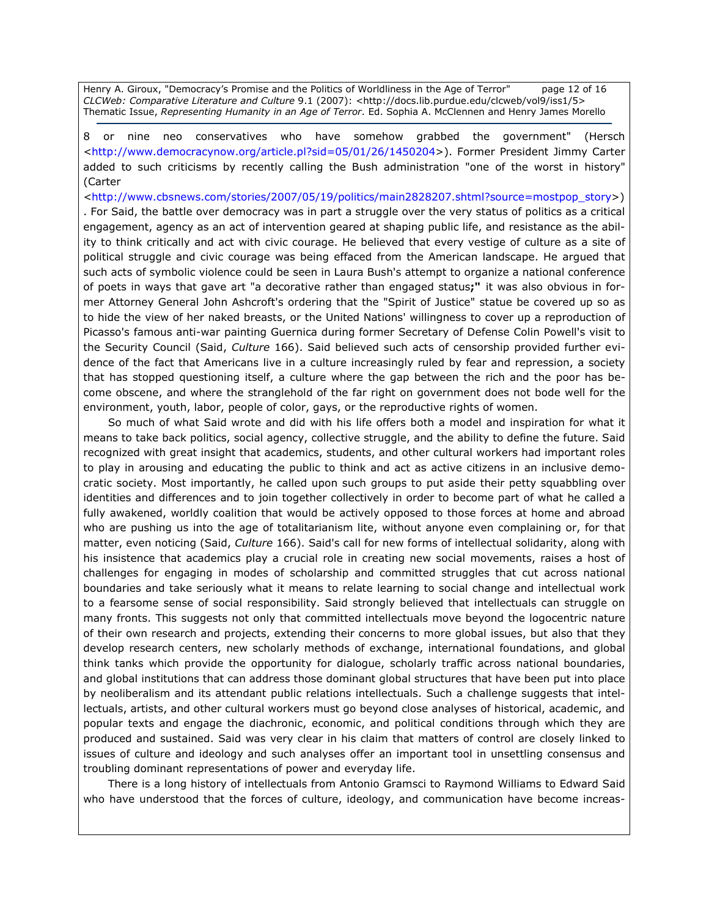Henry A. Giroux, "Democracy's Promise and the Politics of Worldliness in the Age of Terror" page 12 of 16 CLCWeb: Comparative Literature and Culture 9.1 (2007): <http://docs.lib.purdue.edu/clcweb/vol9/iss1/5> Thematic Issue, Representing Humanity in an Age of Terror. Ed. Sophia A. McClennen and Henry James Morello

8 or nine neo conservatives who have somehow grabbed the government" (Hersch <http://www.democracynow.org/article.pl?sid=05/01/26/1450204>). Former President Jimmy Carter added to such criticisms by recently calling the Bush administration "one of the worst in history" (Carter

<http://www.cbsnews.com/stories/2007/05/19/politics/main2828207.shtml?source=mostpop\_story>) . For Said, the battle over democracy was in part a struggle over the very status of politics as a critical engagement, agency as an act of intervention geared at shaping public life, and resistance as the ability to think critically and act with civic courage. He believed that every vestige of culture as a site of political struggle and civic courage was being effaced from the American landscape. He argued that such acts of symbolic violence could be seen in Laura Bush's attempt to organize a national conference of poets in ways that gave art "a decorative rather than engaged status;" it was also obvious in former Attorney General John Ashcroft's ordering that the "Spirit of Justice" statue be covered up so as to hide the view of her naked breasts, or the United Nations' willingness to cover up a reproduction of Picasso's famous anti-war painting Guernica during former Secretary of Defense Colin Powell's visit to the Security Council (Said, Culture 166). Said believed such acts of censorship provided further evidence of the fact that Americans live in a culture increasingly ruled by fear and repression, a society that has stopped questioning itself, a culture where the gap between the rich and the poor has become obscene, and where the stranglehold of the far right on government does not bode well for the environment, youth, labor, people of color, gays, or the reproductive rights of women.

 So much of what Said wrote and did with his life offers both a model and inspiration for what it means to take back politics, social agency, collective struggle, and the ability to define the future. Said recognized with great insight that academics, students, and other cultural workers had important roles to play in arousing and educating the public to think and act as active citizens in an inclusive democratic society. Most importantly, he called upon such groups to put aside their petty squabbling over identities and differences and to join together collectively in order to become part of what he called a fully awakened, worldly coalition that would be actively opposed to those forces at home and abroad who are pushing us into the age of totalitarianism lite, without anyone even complaining or, for that matter, even noticing (Said, Culture 166). Said's call for new forms of intellectual solidarity, along with his insistence that academics play a crucial role in creating new social movements, raises a host of challenges for engaging in modes of scholarship and committed struggles that cut across national boundaries and take seriously what it means to relate learning to social change and intellectual work to a fearsome sense of social responsibility. Said strongly believed that intellectuals can struggle on many fronts. This suggests not only that committed intellectuals move beyond the logocentric nature of their own research and projects, extending their concerns to more global issues, but also that they develop research centers, new scholarly methods of exchange, international foundations, and global think tanks which provide the opportunity for dialogue, scholarly traffic across national boundaries, and global institutions that can address those dominant global structures that have been put into place by neoliberalism and its attendant public relations intellectuals. Such a challenge suggests that intellectuals, artists, and other cultural workers must go beyond close analyses of historical, academic, and popular texts and engage the diachronic, economic, and political conditions through which they are produced and sustained. Said was very clear in his claim that matters of control are closely linked to issues of culture and ideology and such analyses offer an important tool in unsettling consensus and troubling dominant representations of power and everyday life.

 There is a long history of intellectuals from Antonio Gramsci to Raymond Williams to Edward Said who have understood that the forces of culture, ideology, and communication have become increas-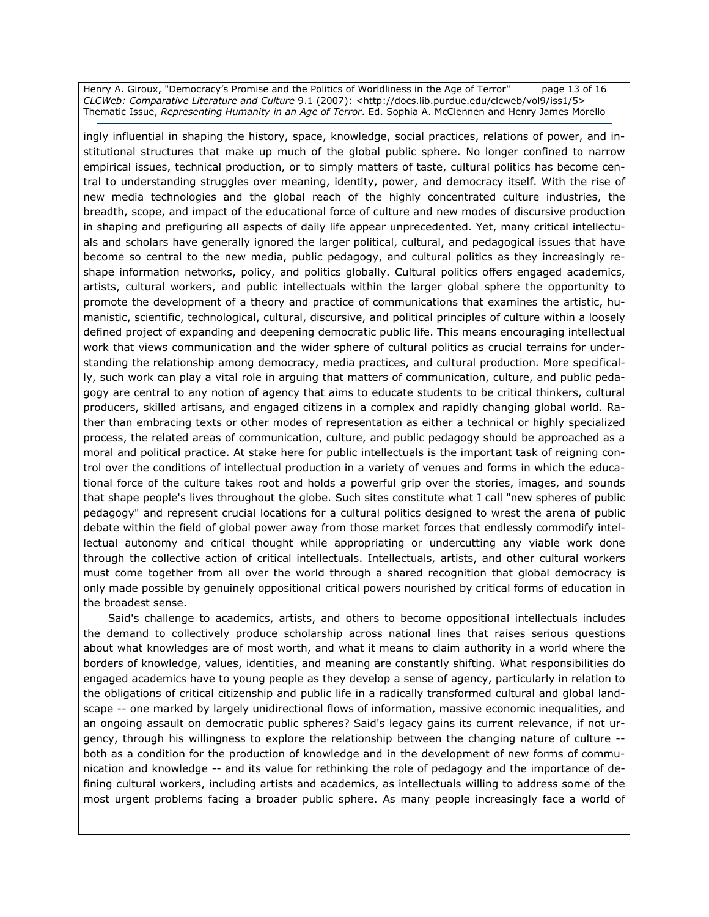Henry A. Giroux, "Democracy's Promise and the Politics of Worldliness in the Age of Terror" page 13 of 16 CLCWeb: Comparative Literature and Culture 9.1 (2007): <http://docs.lib.purdue.edu/clcweb/vol9/iss1/5> Thematic Issue, Representing Humanity in an Age of Terror. Ed. Sophia A. McClennen and Henry James Morello

ingly influential in shaping the history, space, knowledge, social practices, relations of power, and institutional structures that make up much of the global public sphere. No longer confined to narrow empirical issues, technical production, or to simply matters of taste, cultural politics has become central to understanding struggles over meaning, identity, power, and democracy itself. With the rise of new media technologies and the global reach of the highly concentrated culture industries, the breadth, scope, and impact of the educational force of culture and new modes of discursive production in shaping and prefiguring all aspects of daily life appear unprecedented. Yet, many critical intellectuals and scholars have generally ignored the larger political, cultural, and pedagogical issues that have become so central to the new media, public pedagogy, and cultural politics as they increasingly reshape information networks, policy, and politics globally. Cultural politics offers engaged academics, artists, cultural workers, and public intellectuals within the larger global sphere the opportunity to promote the development of a theory and practice of communications that examines the artistic, humanistic, scientific, technological, cultural, discursive, and political principles of culture within a loosely defined project of expanding and deepening democratic public life. This means encouraging intellectual work that views communication and the wider sphere of cultural politics as crucial terrains for understanding the relationship among democracy, media practices, and cultural production. More specifically, such work can play a vital role in arguing that matters of communication, culture, and public pedagogy are central to any notion of agency that aims to educate students to be critical thinkers, cultural producers, skilled artisans, and engaged citizens in a complex and rapidly changing global world. Rather than embracing texts or other modes of representation as either a technical or highly specialized process, the related areas of communication, culture, and public pedagogy should be approached as a moral and political practice. At stake here for public intellectuals is the important task of reigning control over the conditions of intellectual production in a variety of venues and forms in which the educational force of the culture takes root and holds a powerful grip over the stories, images, and sounds that shape people's lives throughout the globe. Such sites constitute what I call "new spheres of public pedagogy" and represent crucial locations for a cultural politics designed to wrest the arena of public debate within the field of global power away from those market forces that endlessly commodify intellectual autonomy and critical thought while appropriating or undercutting any viable work done through the collective action of critical intellectuals. Intellectuals, artists, and other cultural workers must come together from all over the world through a shared recognition that global democracy is only made possible by genuinely oppositional critical powers nourished by critical forms of education in the broadest sense.

 Said's challenge to academics, artists, and others to become oppositional intellectuals includes the demand to collectively produce scholarship across national lines that raises serious questions about what knowledges are of most worth, and what it means to claim authority in a world where the borders of knowledge, values, identities, and meaning are constantly shifting. What responsibilities do engaged academics have to young people as they develop a sense of agency, particularly in relation to the obligations of critical citizenship and public life in a radically transformed cultural and global landscape -- one marked by largely unidirectional flows of information, massive economic inequalities, and an ongoing assault on democratic public spheres? Said's legacy gains its current relevance, if not urgency, through his willingness to explore the relationship between the changing nature of culture - both as a condition for the production of knowledge and in the development of new forms of communication and knowledge -- and its value for rethinking the role of pedagogy and the importance of defining cultural workers, including artists and academics, as intellectuals willing to address some of the most urgent problems facing a broader public sphere. As many people increasingly face a world of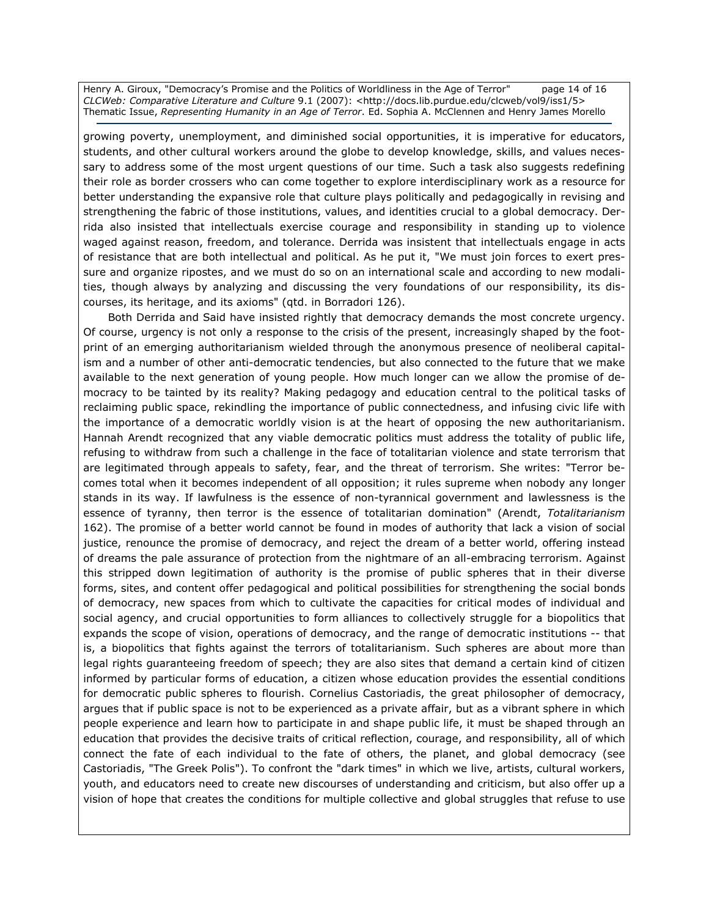Henry A. Giroux, "Democracy's Promise and the Politics of Worldliness in the Age of Terror" page 14 of 16 CLCWeb: Comparative Literature and Culture 9.1 (2007): <http://docs.lib.purdue.edu/clcweb/vol9/iss1/5> Thematic Issue, Representing Humanity in an Age of Terror. Ed. Sophia A. McClennen and Henry James Morello

growing poverty, unemployment, and diminished social opportunities, it is imperative for educators, students, and other cultural workers around the globe to develop knowledge, skills, and values necessary to address some of the most urgent questions of our time. Such a task also suggests redefining their role as border crossers who can come together to explore interdisciplinary work as a resource for better understanding the expansive role that culture plays politically and pedagogically in revising and strengthening the fabric of those institutions, values, and identities crucial to a global democracy. Derrida also insisted that intellectuals exercise courage and responsibility in standing up to violence waged against reason, freedom, and tolerance. Derrida was insistent that intellectuals engage in acts of resistance that are both intellectual and political. As he put it, "We must join forces to exert pressure and organize ripostes, and we must do so on an international scale and according to new modalities, though always by analyzing and discussing the very foundations of our responsibility, its discourses, its heritage, and its axioms" (qtd. in Borradori 126).

 Both Derrida and Said have insisted rightly that democracy demands the most concrete urgency. Of course, urgency is not only a response to the crisis of the present, increasingly shaped by the footprint of an emerging authoritarianism wielded through the anonymous presence of neoliberal capitalism and a number of other anti-democratic tendencies, but also connected to the future that we make available to the next generation of young people. How much longer can we allow the promise of democracy to be tainted by its reality? Making pedagogy and education central to the political tasks of reclaiming public space, rekindling the importance of public connectedness, and infusing civic life with the importance of a democratic worldly vision is at the heart of opposing the new authoritarianism. Hannah Arendt recognized that any viable democratic politics must address the totality of public life, refusing to withdraw from such a challenge in the face of totalitarian violence and state terrorism that are legitimated through appeals to safety, fear, and the threat of terrorism. She writes: "Terror becomes total when it becomes independent of all opposition; it rules supreme when nobody any longer stands in its way. If lawfulness is the essence of non-tyrannical government and lawlessness is the essence of tyranny, then terror is the essence of totalitarian domination" (Arendt, Totalitarianism 162). The promise of a better world cannot be found in modes of authority that lack a vision of social justice, renounce the promise of democracy, and reject the dream of a better world, offering instead of dreams the pale assurance of protection from the nightmare of an all-embracing terrorism. Against this stripped down legitimation of authority is the promise of public spheres that in their diverse forms, sites, and content offer pedagogical and political possibilities for strengthening the social bonds of democracy, new spaces from which to cultivate the capacities for critical modes of individual and social agency, and crucial opportunities to form alliances to collectively struggle for a biopolitics that expands the scope of vision, operations of democracy, and the range of democratic institutions -- that is, a biopolitics that fights against the terrors of totalitarianism. Such spheres are about more than legal rights guaranteeing freedom of speech; they are also sites that demand a certain kind of citizen informed by particular forms of education, a citizen whose education provides the essential conditions for democratic public spheres to flourish. Cornelius Castoriadis, the great philosopher of democracy, argues that if public space is not to be experienced as a private affair, but as a vibrant sphere in which people experience and learn how to participate in and shape public life, it must be shaped through an education that provides the decisive traits of critical reflection, courage, and responsibility, all of which connect the fate of each individual to the fate of others, the planet, and global democracy (see Castoriadis, "The Greek Polis"). To confront the "dark times" in which we live, artists, cultural workers, youth, and educators need to create new discourses of understanding and criticism, but also offer up a vision of hope that creates the conditions for multiple collective and global struggles that refuse to use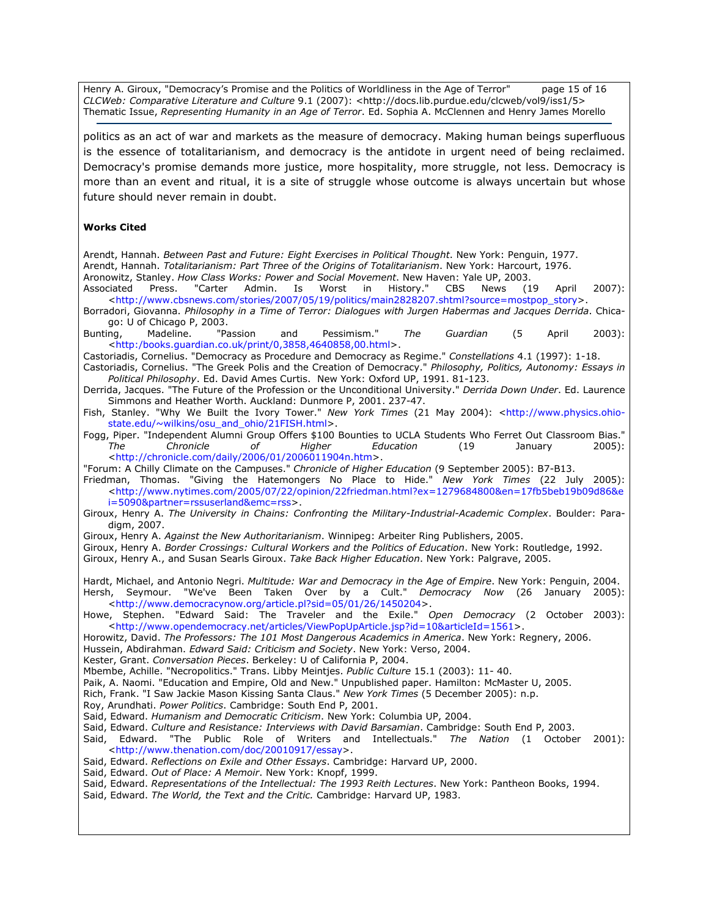Henry A. Giroux, "Democracy's Promise and the Politics of Worldliness in the Age of Terror" page 15 of 16 CLCWeb: Comparative Literature and Culture 9.1 (2007): <http://docs.lib.purdue.edu/clcweb/vol9/iss1/5> Thematic Issue, Representing Humanity in an Age of Terror. Ed. Sophia A. McClennen and Henry James Morello

politics as an act of war and markets as the measure of democracy. Making human beings superfluous is the essence of totalitarianism, and democracy is the antidote in urgent need of being reclaimed. Democracy's promise demands more justice, more hospitality, more struggle, not less. Democracy is more than an event and ritual, it is a site of struggle whose outcome is always uncertain but whose future should never remain in doubt.

#### Works Cited

Arendt, Hannah. Between Past and Future: Eight Exercises in Political Thought. New York: Penguin, 1977. Arendt, Hannah. Totalitarianism: Part Three of the Origins of Totalitarianism. New York: Harcourt, 1976. Aronowitz, Stanley. How Class Works: Power and Social Movement. New Haven: Yale UP, 2003.<br>Associated Press. "Carter Admin. Is Worst in History." CBS News (19

Associated Press. "Carter Admin. Is Worst in History." CBS News (19 April 2007): <http://www.cbsnews.com/stories/2007/05/19/politics/main2828207.shtml?source=mostpop\_story>.

- Borradori, Giovanna. Philosophy in a Time of Terror: Dialogues with Jurgen Habermas and Jacques Derrida. Chicago: U of Chicago P, 2003.
- Bunting, Madeline. "Passion and Pessimism." *The Guardian* (5 April 2003): <http:/books.guardian.co.uk/print/0,3858,4640858,00.html>.

Castoriadis, Cornelius. "Democracy as Procedure and Democracy as Regime." Constellations 4.1 (1997): 1-18.

Castoriadis, Cornelius. "The Greek Polis and the Creation of Democracy." Philosophy, Politics, Autonomy: Essays in Political Philosophy. Ed. David Ames Curtis. New York: Oxford UP, 1991. 81-123.

Derrida, Jacques. "The Future of the Profession or the Unconditional University." Derrida Down Under. Ed. Laurence Simmons and Heather Worth. Auckland: Dunmore P, 2001. 237-47.

Fish, Stanley. "Why We Built the Ivory Tower." New York Times (21 May 2004): <http://www.physics.ohiostate.edu/~wilkins/osu\_and\_ohio/21FISH.html>.

Fogg, Piper. "Independent Alumni Group Offers \$100 Bounties to UCLA Students Who Ferret Out Classroom Bias." The Chronicle of Higher Education (19 January 2005): <http://chronicle.com/daily/2006/01/2006011904n.htm>.

"Forum: A Chilly Climate on the Campuses." Chronicle of Higher Education (9 September 2005): B7-B13.

Friedman, Thomas. "Giving the Hatemongers No Place to Hide." New York Times (22 July 2005): <http://www.nytimes.com/2005/07/22/opinion/22friedman.html?ex=1279684800&en=17fb5beb19b09d86&e i=5090&partner=rssuserland&emc=rss>.

Giroux, Henry A. The University in Chains: Confronting the Military-Industrial-Academic Complex. Boulder: Paradigm, 2007.

Giroux, Henry A. Against the New Authoritarianism. Winnipeg: Arbeiter Ring Publishers, 2005.

Giroux, Henry A. Border Crossings: Cultural Workers and the Politics of Education. New York: Routledge, 1992.

Giroux, Henry A., and Susan Searls Giroux. Take Back Higher Education. New York: Palgrave, 2005.

Hardt, Michael, and Antonio Negri. Multitude: War and Democracy in the Age of Empire. New York: Penguin, 2004. Hersh, Seymour. "We've Been Taken Over by a Cult." Democracy Now (26 January 2005): <http://www.democracynow.org/article.pl?sid=05/01/26/1450204>.

Howe, Stephen. "Edward Said: The Traveler and the Exile." Open Democracy (2 October 2003): <http://www.opendemocracy.net/articles/ViewPopUpArticle.jsp?id=10&articleId=1561>.

Horowitz, David. The Professors: The 101 Most Dangerous Academics in America. New York: Regnery, 2006.

Hussein, Abdirahman. Edward Said: Criticism and Society. New York: Verso, 2004.

Kester, Grant. Conversation Pieces. Berkeley: U of California P, 2004.

Mbembe, Achille. "Necropolitics." Trans. Libby Meintjes. Public Culture 15.1 (2003): 11- 40.

Paik, A. Naomi. "Education and Empire, Old and New." Unpublished paper. Hamilton: McMaster U, 2005.

Rich, Frank. "I Saw Jackie Mason Kissing Santa Claus." New York Times (5 December 2005): n.p.

Roy, Arundhati. Power Politics. Cambridge: South End P, 2001.

Said, Edward. Humanism and Democratic Criticism. New York: Columbia UP, 2004.

Said, Edward. Culture and Resistance: Interviews with David Barsamian. Cambridge: South End P, 2003.

Said, Edward. "The Public Role of Writers and Intellectuals." The Nation (1 October 2001): <http://www.thenation.com/doc/20010917/essay>.

Said, Edward. Reflections on Exile and Other Essays. Cambridge: Harvard UP, 2000.

Said, Edward. Out of Place: A Memoir. New York: Knopf, 1999.

- Said, Edward. Representations of the Intellectual: The 1993 Reith Lectures. New York: Pantheon Books, 1994.
- Said, Edward. The World, the Text and the Critic. Cambridge: Harvard UP, 1983.